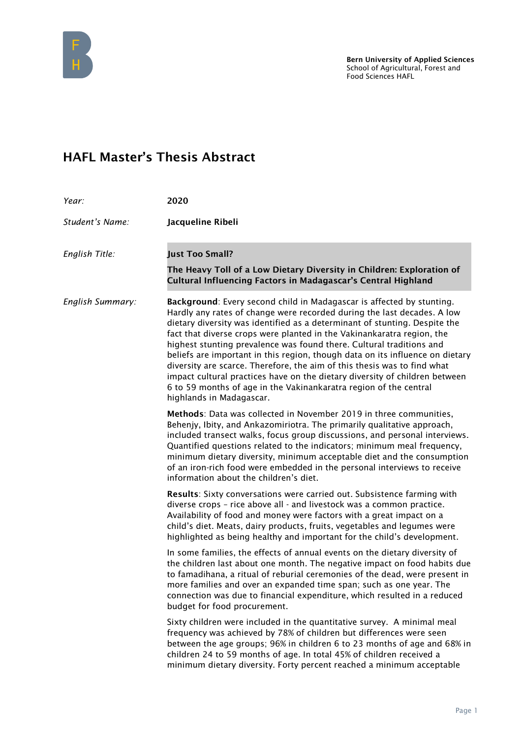

## HAFL Master's Thesis Abstract

| Year:            | 2020                                                                                                                                                                                                                                                                                                                                                                                                                                                                                                                                                                                                                                                                                                                          |
|------------------|-------------------------------------------------------------------------------------------------------------------------------------------------------------------------------------------------------------------------------------------------------------------------------------------------------------------------------------------------------------------------------------------------------------------------------------------------------------------------------------------------------------------------------------------------------------------------------------------------------------------------------------------------------------------------------------------------------------------------------|
| Student's Name:  | Jacqueline Ribeli                                                                                                                                                                                                                                                                                                                                                                                                                                                                                                                                                                                                                                                                                                             |
| English Title:   | <b>Just Too Small?</b>                                                                                                                                                                                                                                                                                                                                                                                                                                                                                                                                                                                                                                                                                                        |
|                  | The Heavy Toll of a Low Dietary Diversity in Children: Exploration of<br>Cultural Influencing Factors in Madagascar's Central Highland                                                                                                                                                                                                                                                                                                                                                                                                                                                                                                                                                                                        |
| English Summary: | Background: Every second child in Madagascar is affected by stunting.<br>Hardly any rates of change were recorded during the last decades. A low<br>dietary diversity was identified as a determinant of stunting. Despite the<br>fact that diverse crops were planted in the Vakinankaratra region, the<br>highest stunting prevalence was found there. Cultural traditions and<br>beliefs are important in this region, though data on its influence on dietary<br>diversity are scarce. Therefore, the aim of this thesis was to find what<br>impact cultural practices have on the dietary diversity of children between<br>6 to 59 months of age in the Vakinankaratra region of the central<br>highlands in Madagascar. |
|                  | Methods: Data was collected in November 2019 in three communities,<br>Behenjy, Ibity, and Ankazomiriotra. The primarily qualitative approach,<br>included transect walks, focus group discussions, and personal interviews.<br>Quantified questions related to the indicators; minimum meal frequency,<br>minimum dietary diversity, minimum acceptable diet and the consumption<br>of an iron-rich food were embedded in the personal interviews to receive<br>information about the children's diet.                                                                                                                                                                                                                        |
|                  | Results: Sixty conversations were carried out. Subsistence farming with<br>diverse crops - rice above all - and livestock was a common practice.<br>Availability of food and money were factors with a great impact on a<br>child's diet. Meats, dairy products, fruits, vegetables and legumes were<br>highlighted as being healthy and important for the child's development.                                                                                                                                                                                                                                                                                                                                               |
|                  | In some families, the effects of annual events on the dietary diversity of<br>the children last about one month. The negative impact on food habits due<br>to famadihana, a ritual of reburial ceremonies of the dead, were present in<br>more families and over an expanded time span; such as one year. The<br>connection was due to financial expenditure, which resulted in a reduced<br>budget for food procurement.                                                                                                                                                                                                                                                                                                     |
|                  | Sixty children were included in the quantitative survey. A minimal meal<br>frequency was achieved by 78% of children but differences were seen<br>between the age groups; 96% in children 6 to 23 months of age and 68% in<br>children 24 to 59 months of age. In total 45% of children received a<br>minimum dietary diversity. Forty percent reached a minimum acceptable                                                                                                                                                                                                                                                                                                                                                   |